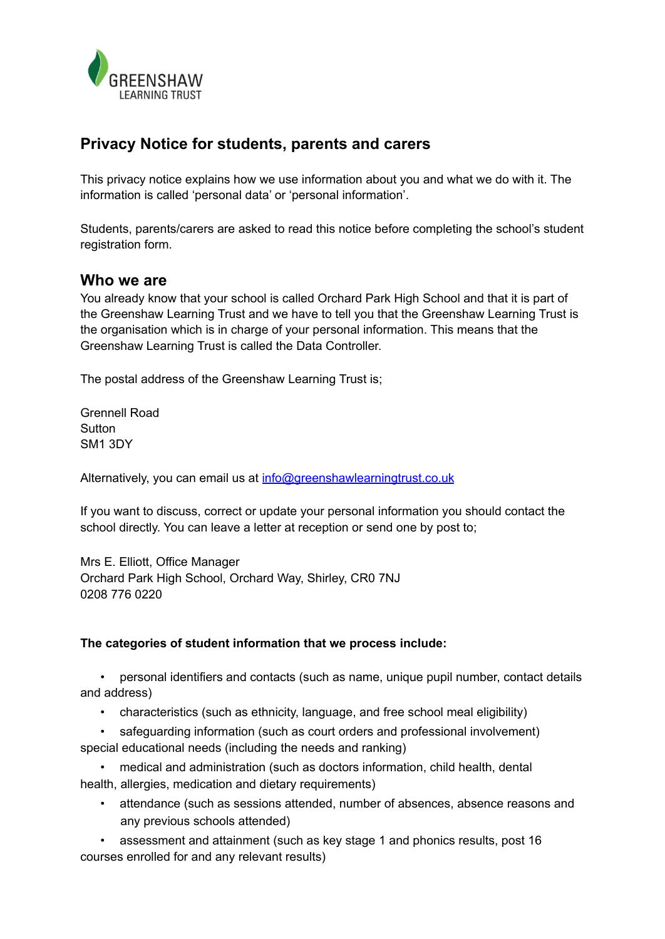

## **Privacy Notice for students, parents and carers**

This privacy notice explains how we use information about you and what we do with it. The information is called 'personal data' or 'personal information'.

Students, parents/carers are asked to read this notice before completing the school's student registration form.

#### **Who we are**

You already know that your school is called Orchard Park High School and that it is part of the Greenshaw Learning Trust and we have to tell you that the Greenshaw Learning Trust is the organisation which is in charge of your personal information. This means that the Greenshaw Learning Trust is called the Data Controller.

The postal address of the Greenshaw Learning Trust is;

Grennell Road **Sutton** SM1 3DY

Alternatively, you can email us at info@greenshawlearningtrust.co.uk

If you want to discuss, correct or update your personal information you should contact the school directly. You can leave a letter at reception or send one by post to;

Mrs E. Elliott, Office Manager Orchard Park High School, Orchard Way, Shirley, CR0 7NJ 0208 776 0220

#### **The categories of student information that we process include:**

• personal identifiers and contacts (such as name, unique pupil number, contact details and address)

- characteristics (such as ethnicity, language, and free school meal eligibility)
- safeguarding information (such as court orders and professional involvement) special educational needs (including the needs and ranking)

• medical and administration (such as doctors information, child health, dental health, allergies, medication and dietary requirements)

• attendance (such as sessions attended, number of absences, absence reasons and any previous schools attended)

• assessment and attainment (such as key stage 1 and phonics results, post 16 courses enrolled for and any relevant results)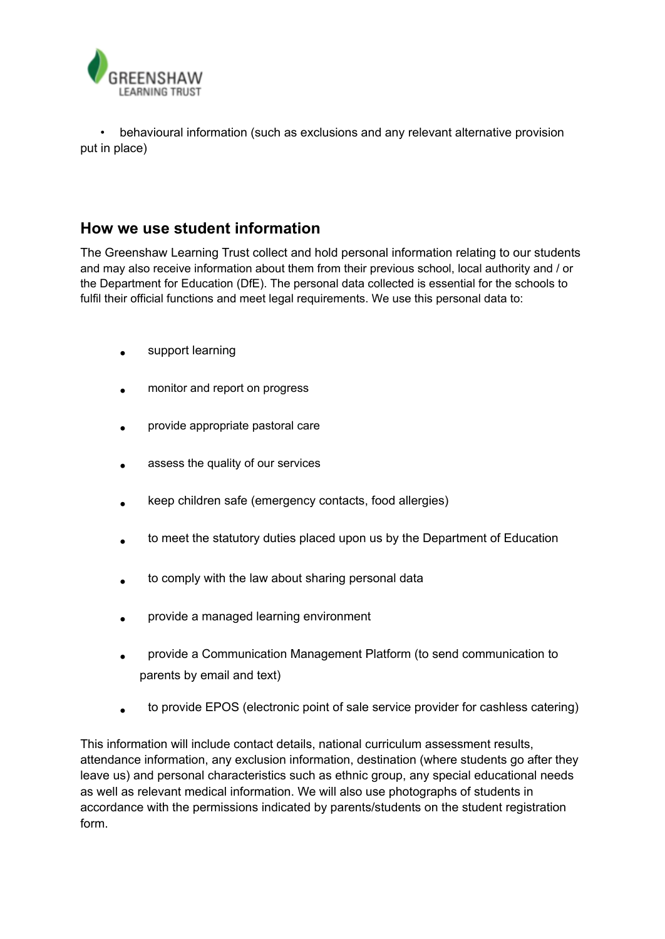

• behavioural information (such as exclusions and any relevant alternative provision put in place)

## **How we use student information**

The Greenshaw Learning Trust collect and hold personal information relating to our students and may also receive information about them from their previous school, local authority and / or the Department for Education (DfE). The personal data collected is essential for the schools to fulfil their official functions and meet legal requirements. We use this personal data to:

- support learning
- monitor and report on progress
- provide appropriate pastoral care
- assess the quality of our services
- keep children safe (emergency contacts, food allergies)
- to meet the statutory duties placed upon us by the Department of Education
- to comply with the law about sharing personal data
- provide a managed learning environment
- provide a Communication Management Platform (to send communication to parents by email and text)
- to provide EPOS (electronic point of sale service provider for cashless catering)

This information will include contact details, national curriculum assessment results, attendance information, any exclusion information, destination (where students go after they leave us) and personal characteristics such as ethnic group, any special educational needs as well as relevant medical information. We will also use photographs of students in accordance with the permissions indicated by parents/students on the student registration form.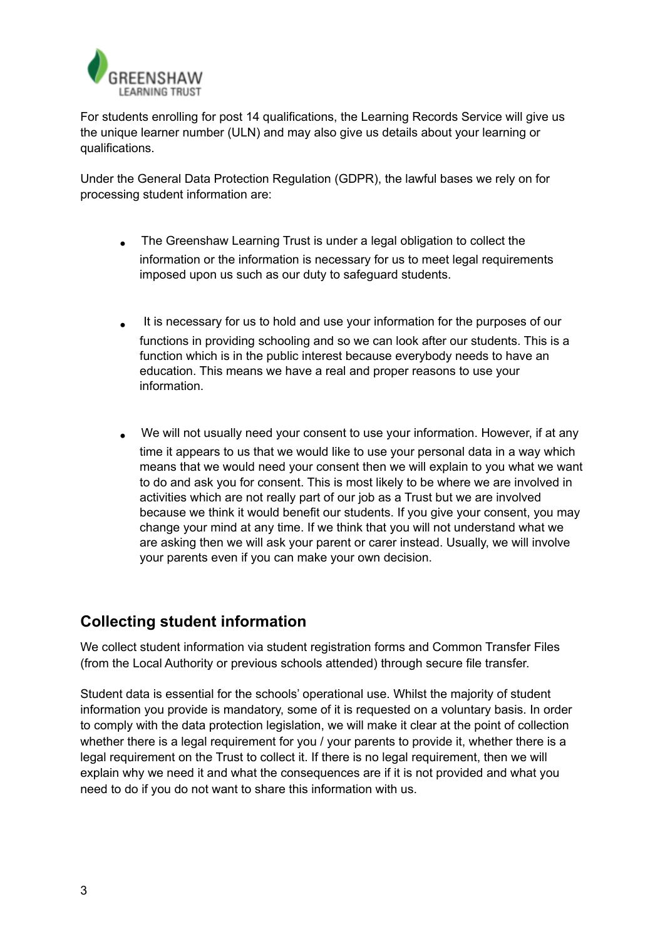

For students enrolling for post 14 qualifications, the Learning Records Service will give us the unique learner number (ULN) and may also give us details about your learning or qualifications.

Under the General Data Protection Regulation (GDPR), the lawful bases we rely on for processing student information are:

- The Greenshaw Learning Trust is under a legal obligation to collect the information or the information is necessary for us to meet legal requirements imposed upon us such as our duty to safeguard students.
- It is necessary for us to hold and use your information for the purposes of our functions in providing schooling and so we can look after our students. This is a function which is in the public interest because everybody needs to have an education. This means we have a real and proper reasons to use your information.
- We will not usually need your consent to use your information. However, if at any time it appears to us that we would like to use your personal data in a way which means that we would need your consent then we will explain to you what we want to do and ask you for consent. This is most likely to be where we are involved in activities which are not really part of our job as a Trust but we are involved because we think it would benefit our students. If you give your consent, you may change your mind at any time. If we think that you will not understand what we are asking then we will ask your parent or carer instead. Usually, we will involve your parents even if you can make your own decision.

## **Collecting student information**

We collect student information via student registration forms and Common Transfer Files (from the Local Authority or previous schools attended) through secure file transfer.

Student data is essential for the schools' operational use. Whilst the majority of student information you provide is mandatory, some of it is requested on a voluntary basis. In order to comply with the data protection legislation, we will make it clear at the point of collection whether there is a legal requirement for you / your parents to provide it, whether there is a legal requirement on the Trust to collect it. If there is no legal requirement, then we will explain why we need it and what the consequences are if it is not provided and what you need to do if you do not want to share this information with us.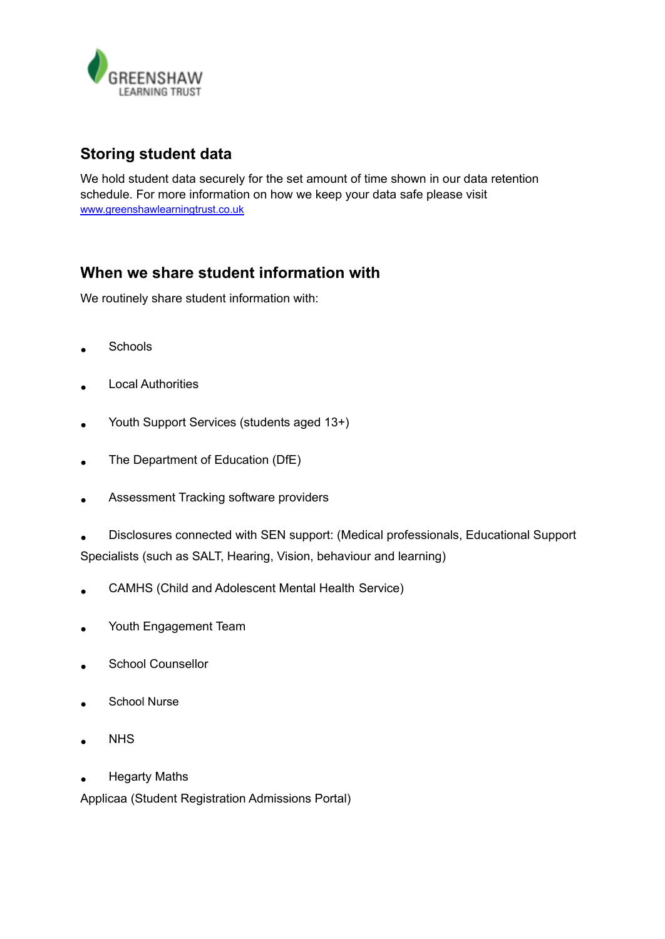

# **Storing student data**

We hold student data securely for the set amount of time shown in our data retention schedule. For more information on how we keep your data safe please visit [www.greenshawlearningtrust.co.uk](http://www.greenshawlearningtrust.co.uk/)

# **When we share student information with**

We routinely share student information with:

- Schools
- Local Authorities
- Youth Support Services (students aged 13+)
- The Department of Education (DfE)
- Assessment Tracking software providers
- Disclosures connected with SEN support: (Medical professionals, Educational Support Specialists (such as SALT, Hearing, Vision, behaviour and learning)
- CAMHS (Child and Adolescent Mental Health Service)
- Youth Engagement Team
- School Counsellor
- School Nurse
- **NHS**
- Hegarty Maths

Applicaa (Student Registration Admissions Portal)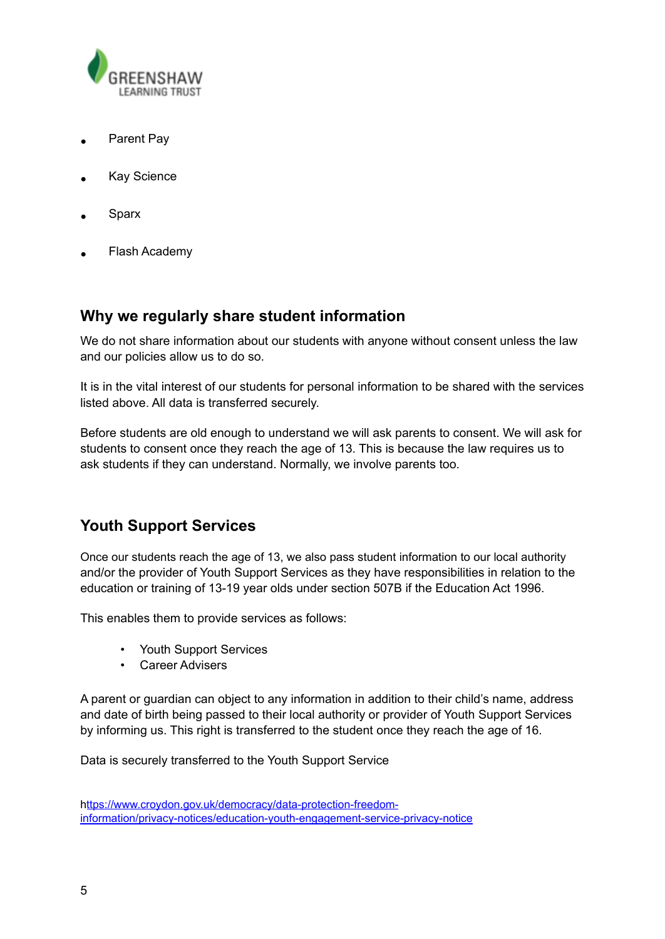

- Parent Pay
- **Kay Science**
- **Sparx**
- Flash Academy

### **Why we regularly share student information**

We do not share information about our students with anyone without consent unless the law and our policies allow us to do so.

It is in the vital interest of our students for personal information to be shared with the services listed above. All data is transferred securely.

Before students are old enough to understand we will ask parents to consent. We will ask for students to consent once they reach the age of 13. This is because the law requires us to ask students if they can understand. Normally, we involve parents too.

## **Youth Support Services**

Once our students reach the age of 13, we also pass student information to our local authority and/or the provider of Youth Support Services as they have responsibilities in relation to the education or training of 13-19 year olds under section 507B if the Education Act 1996.

This enables them to provide services as follows:

- Youth Support Services
- Career Advisers

A parent or guardian can object to any information in addition to their child's name, address and date of birth being passed to their local authority or provider of Youth Support Services by informing us. This right is transferred to the student once they reach the age of 16.

Data is securely transferred to the Youth Support Service

h[ttps://www.croydon.gov.uk/democracy/data-protection-freedom](https://www.croydon.gov.uk/democracy/data-protection-freedom-information/privacy-notices/education-youth-engagement-service-privacy-notice)[information/privacy-notices/education-youth-engagement-service-privacy-notice](https://www.croydon.gov.uk/democracy/data-protection-freedom-information/privacy-notices/education-youth-engagement-service-privacy-notice)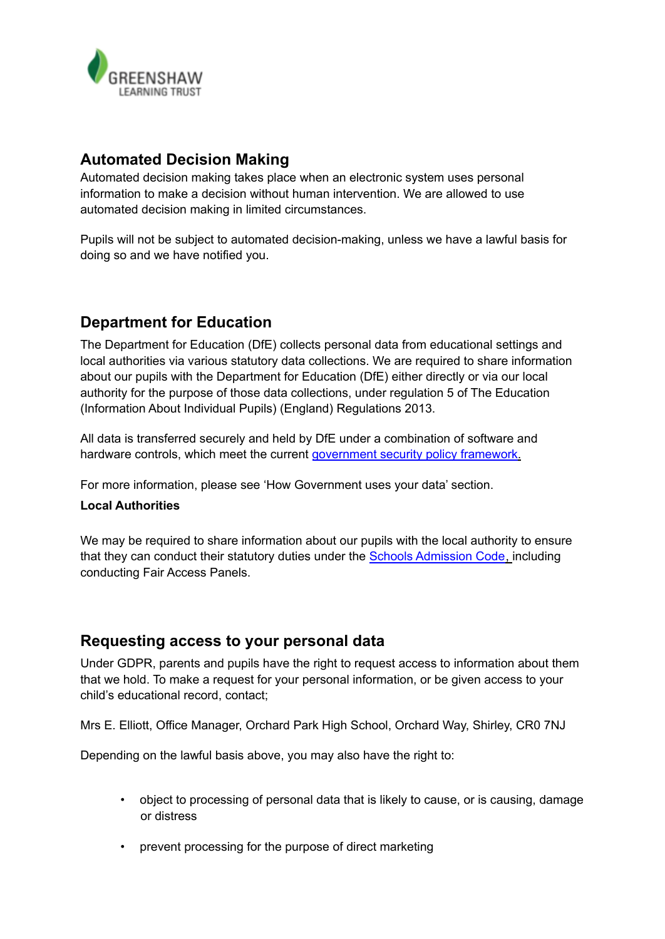

## **Automated Decision Making**

Automated decision making takes place when an electronic system uses personal information to make a decision without human intervention. We are allowed to use automated decision making in limited circumstances.

Pupils will not be subject to automated decision-making, unless we have a lawful basis for doing so and we have notified you.

# **Department for Education**

The Department for Education (DfE) collects personal data from educational settings and local authorities via various statutory data collections. We are required to share information about our pupils with the Department for Education (DfE) either directly or via our local authority for the purpose of those data collections, under regulation 5 of The Education (Information About Individual Pupils) (England) Regulations 2013.

All data is transferred securely and held by DfE under a combination of software and hardware controls, which meet the current [government](https://www.gov.uk/government/publications/security-policy-framework) security policy framework.

For more information, please see 'How Government uses your data' section.

#### **Local Authorities**

We may be required to share information about our pupils with the local authority to ensure that they can conduct their statutory duties under the Schools [Admission](https://www.gov.uk/government/publications/school-admissions-code--2) Code, including conducting Fair Access Panels.

### **Requesting access to your personal data**

Under GDPR, parents and pupils have the right to request access to information about them that we hold. To make a request for your personal information, or be given access to your child's educational record, contact;

Mrs E. Elliott, Office Manager, Orchard Park High School, Orchard Way, Shirley, CR0 7NJ

Depending on the lawful basis above, you may also have the right to:

- object to processing of personal data that is likely to cause, or is causing, damage or distress
- prevent processing for the purpose of direct marketing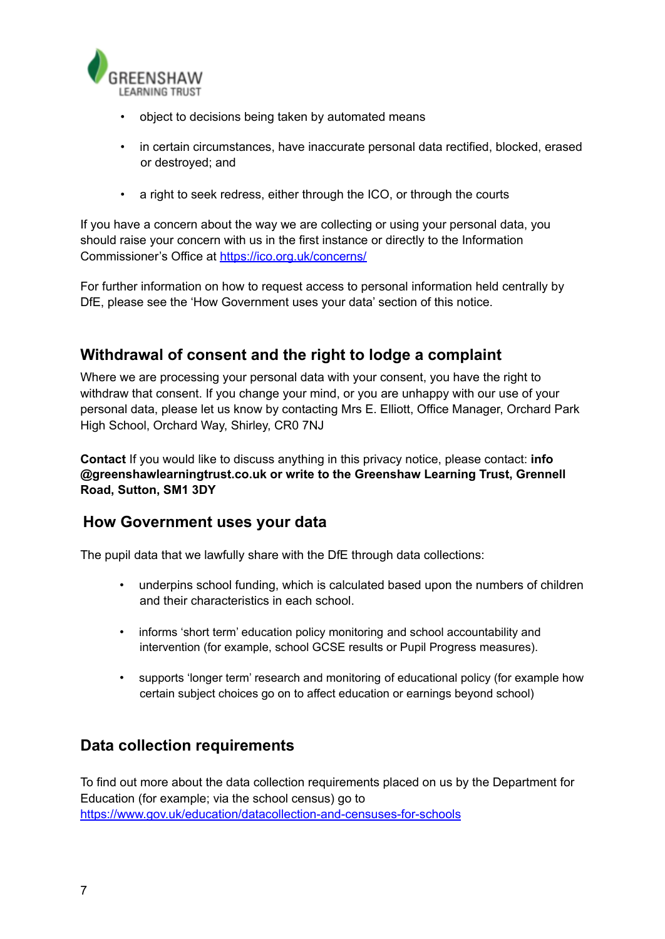

- object to decisions being taken by automated means
- in certain circumstances, have inaccurate personal data rectified, blocked, erased or destroyed; and
- a right to seek redress, either through the ICO, or through the courts

If you have a concern about the way we are collecting or using your personal data, you should raise your concern with us in the first instance or directly to the Information Commissioner's Office at <https://ico.org.uk/concerns/>

For further information on how to request access to personal information held centrally by DfE, please see the 'How Government uses your data' section of this notice.

## **Withdrawal of consent and the right to lodge a complaint**

Where we are processing your personal data with your consent, you have the right to withdraw that consent. If you change your mind, or you are unhappy with our use of your personal data, please let us know by contacting Mrs E. Elliott, Office Manager, Orchard Park High School, Orchard Way, Shirley, CR0 7NJ

**Contact** If you would like to discuss anything in this privacy notice, please contact: **info @greenshawlearningtrust.co.uk or write to the Greenshaw Learning Trust, Grennell Road, Sutton, SM1 3DY**

### **How Government uses your data**

The pupil data that we lawfully share with the DfE through data collections:

- underpins school funding, which is calculated based upon the numbers of children and their characteristics in each school.
- informs 'short term' education policy monitoring and school accountability and intervention (for example, school GCSE results or Pupil Progress measures).
- supports 'longer term' research and monitoring of educational policy (for example how certain subject choices go on to affect education or earnings beyond school)

### **Data collection requirements**

To find out more about the data collection requirements placed on us by the Department for Education (for example; via the school census) go t[o](https://www.gov.uk/education/data-collection-and-censuses-for-schools) [https://www.gov.uk/education/datacollection-and-censuses-for-schools](https://www.gov.uk/education/data-collection-and-censuses-for-schools)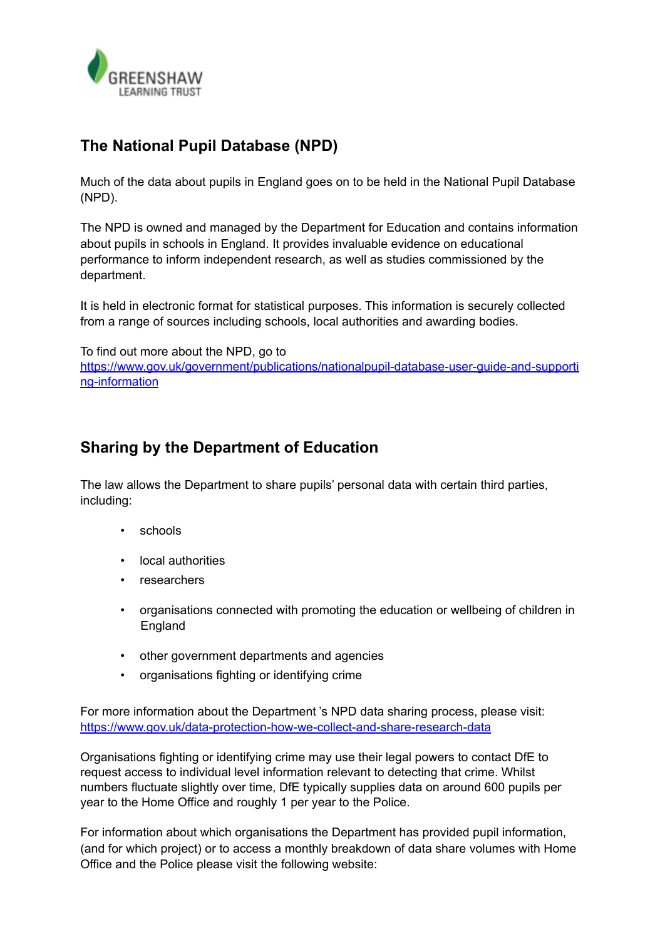

# **The National Pupil Database (NPD)**

Much of the data about pupils in England goes on to be held in the National Pupil Database (NPD).

The NPD is owned and managed by the Department for Education and contains information about pupils in schools in England. It provides invaluable evidence on educational performance to inform independent research, as well as studies commissioned by the department.

It is held in electronic format for statistical purposes. This information is securely collected from a range of sources including schools, local authorities and awarding bodies.

To find out more about the NPD, go to [https://www.gov.uk/government/publications/nationalpupil-database-user-guide-and-supporti](https://www.gov.uk/government/publications/national-pupil-database-user-guide-and-supporting-information) [ng-information](https://www.gov.uk/government/publications/national-pupil-database-user-guide-and-supporting-information)

# **Sharing by the Department of Education**

The law allows the Department to share pupils' personal data with certain third parties, including:

- schools
- local authorities
- researchers
- organisations connected with promoting the education or wellbeing of children in England
- other government departments and agencies
- organisations fighting or identifying crime

For more information about the Department 's NPD data sharing process, please visit: <https://www.gov.uk/data-protection-how-we-collect-and-share-research-data>

Organisations fighting or identifying crime may use their legal powers to contact DfE to request access to individual level information relevant to detecting that crime. Whilst numbers fluctuate slightly over time, DfE typically supplies data on around 600 pupils per year to the Home Office and roughly 1 per year to the Police.

For information about which organisations the Department has provided pupil information, (and for which project) or to access a monthly breakdown of data share volumes with Home Office and the Police please visit the following website: